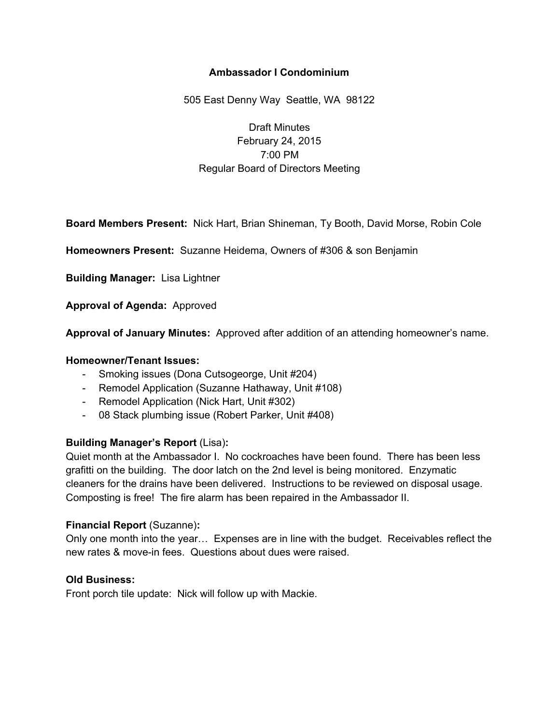# **Ambassador I Condominium**

505 East Denny Way Seattle, WA 98122

Draft Minutes February 24, 2015 7:00 PM Regular Board of Directors Meeting

**Board Members Present:** Nick Hart, Brian Shineman, Ty Booth, David Morse, Robin Cole

**Homeowners Present:** Suzanne Heidema, Owners of #306 & son Benjamin

**Building Manager:** Lisa Lightner

**Approval of Agenda:** Approved

**Approval of January Minutes:** Approved after addition of an attending homeowner's name.

## **Homeowner/Tenant Issues:**

- Smoking issues (Dona Cutsogeorge, Unit #204)
- Remodel Application (Suzanne Hathaway, Unit #108)
- Remodel Application (Nick Hart, Unit #302)
- 08 Stack plumbing issue (Robert Parker, Unit #408)

## **Building Manager's Report** (Lisa)**:**

Quiet month at the Ambassador I. No cockroaches have been found. There has been less grafitti on the building. The door latch on the 2nd level is being monitored. Enzymatic cleaners for the drains have been delivered. Instructions to be reviewed on disposal usage. Composting is free! The fire alarm has been repaired in the Ambassador II.

## **Financial Report** (Suzanne)**:**

Only one month into the year… Expenses are in line with the budget. Receivables reflect the new rates & move-in fees. Questions about dues were raised.

## **Old Business:**

Front porch tile update: Nick will follow up with Mackie.